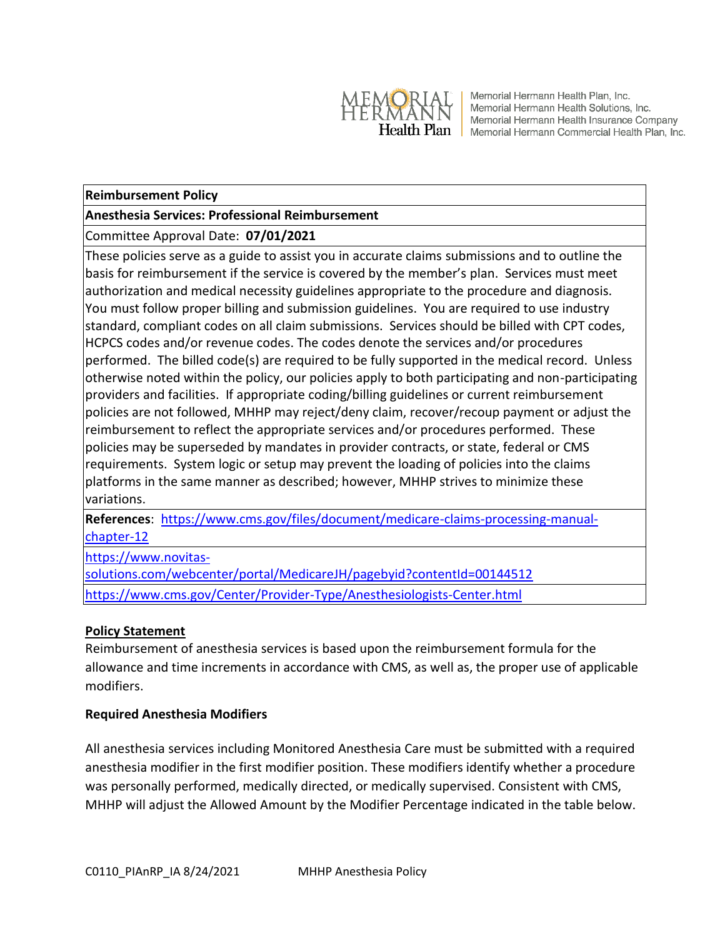

Memorial Hermann Health Plan, Inc. Memorial Hermann Health Solutions, Inc. Memorial Hermann Health Insurance Company Health Plan | Memorial Hermann Commercial Health Plan, Inc.

### **Reimbursement Policy**

## **Anesthesia Services: Professional Reimbursement**

# Committee Approval Date: **07/01/2021**

These policies serve as a guide to assist you in accurate claims submissions and to outline the basis for reimbursement if the service is covered by the member's plan. Services must meet authorization and medical necessity guidelines appropriate to the procedure and diagnosis. You must follow proper billing and submission guidelines. You are required to use industry standard, compliant codes on all claim submissions. Services should be billed with CPT codes, HCPCS codes and/or revenue codes. The codes denote the services and/or procedures performed. The billed code(s) are required to be fully supported in the medical record. Unless otherwise noted within the policy, our policies apply to both participating and non-participating providers and facilities. If appropriate coding/billing guidelines or current reimbursement policies are not followed, MHHP may reject/deny claim, recover/recoup payment or adjust the reimbursement to reflect the appropriate services and/or procedures performed. These policies may be superseded by mandates in provider contracts, or state, federal or CMS requirements. System logic or setup may prevent the loading of policies into the claims platforms in the same manner as described; however, MHHP strives to minimize these variations.

**References**: [https://www.cms.gov/files/document/medicare-claims-processing-manual](https://www.cms.gov/files/document/medicare-claims-processing-manual-chapter-12)[chapter-12](https://www.cms.gov/files/document/medicare-claims-processing-manual-chapter-12)

[https://www.novitas-](https://www.novitas-solutions.com/webcenter/portal/MedicareJH/pagebyid?contentId=00144512)

[solutions.com/webcenter/portal/MedicareJH/pagebyid?contentId=00144512](https://www.novitas-solutions.com/webcenter/portal/MedicareJH/pagebyid?contentId=00144512) <https://www.cms.gov/Center/Provider-Type/Anesthesiologists-Center.html>

### **Policy Statement**

Reimbursement of anesthesia services is based upon the reimbursement formula for the allowance and time increments in accordance with CMS, as well as, the proper use of applicable modifiers.

# **Required Anesthesia Modifiers**

All anesthesia services including Monitored Anesthesia Care must be submitted with a required anesthesia modifier in the first modifier position. These modifiers identify whether a procedure was personally performed, medically directed, or medically supervised. Consistent with CMS, MHHP will adjust the Allowed Amount by the Modifier Percentage indicated in the table below.